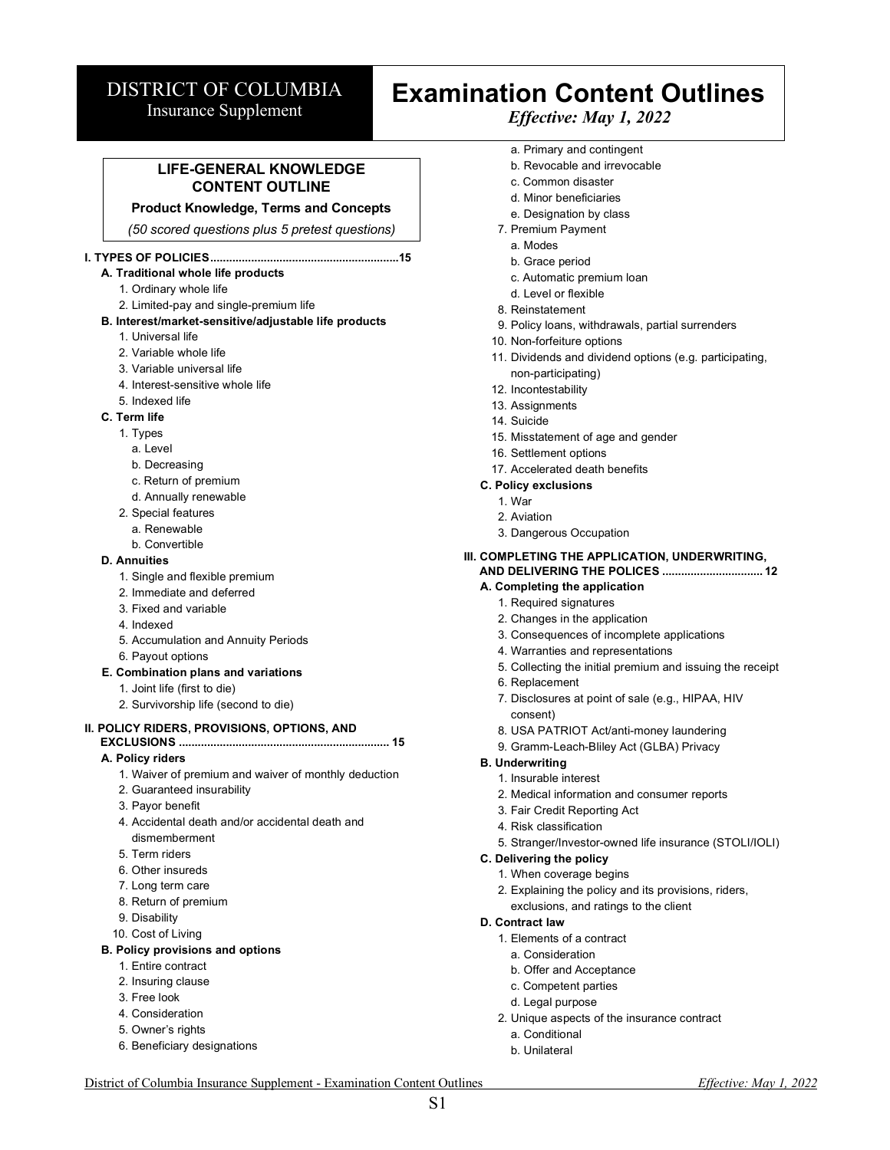# DISTRICT OF COLUMBIA

Insurance Supplement

# **Examination Content Outlines** *Effective: May 1, 2022*

# **LIFE-GENERAL KNOWLEDGE CONTENT OUTLINE**

#### **Product Knowledge, Terms and Concepts**

*(50 scored questions plus 5 pretest questions)*

#### **I. TYPES OF POLICIES............................................................15**

# **A. Traditional whole life products**

- 1. Ordinary whole life
- 2. Limited-pay and single-premium life

#### **B. Interest/market-sensitive/adjustable life products**

- 1. Universal life
- 2. Variable whole life
- 3. Variable universal life
- 4. Interest-sensitive whole life
- 5. Indexed life

#### **C. Term life**

- 1. Types
	- a. Level
	- b. Decreasing
	- c. Return of premium
	- d. Annually renewable
- 2. Special features
	- a. Renewable
	- b. Convertible

#### **D. Annuities**

- 1. Single and flexible premium
- 2. Immediate and deferred
- 3. Fixed and variable
- 4. Indexed
- 5. Accumulation and Annuity Periods
- 6. Payout options

#### **E. Combination plans and variations**

- 1. Joint life (first to die)
- 2. Survivorship life (second to die)

#### **II. POLICY RIDERS, PROVISIONS, OPTIONS, AND**

#### **EXCLUSIONS ................................................................... 15 A. Policy riders**

- 1. Waiver of premium and waiver of monthly deduction
- 2. Guaranteed insurability
- 3. Payor benefit
- 4. Accidental death and/or accidental death and dismemberment
- 5. Term riders
- 6. Other insureds
- 7. Long term care
- 8. Return of premium
- 9. Disability
- 10. Cost of Living

# **B. Policy provisions and options**

- 1. Entire contract
- 2. Insuring clause
- 3. Free look
- 4. Consideration
- 5. Owner's rights
- 6. Beneficiary designations
- a. Primary and contingent
- b. Revocable and irrevocable
- c. Common disaster
- d. Minor beneficiaries
- e. Designation by class
- 7. Premium Payment
	- a. Modes
	- b. Grace period
	- c. Automatic premium loan
- d. Level or flexible
- 8. Reinstatement
- 9. Policy loans, withdrawals, partial surrenders
- 10. Non-forfeiture options
- 11. Dividends and dividend options (e.g. participating, non-participating)
- 12. Incontestability
- 13. Assignments
- 14. Suicide
- 15. Misstatement of age and gender
- 16. Settlement options
- 17. Accelerated death benefits

#### **C. Policy exclusions**

- 1. War
- 2. Aviation
- 3. Dangerous Occupation

#### **III. COMPLETING THE APPLICATION, UNDERWRITING, AND DELIVERING THE POLICES ................................ 12**

#### **A. Completing the application**

- 1. Required signatures
- 2. Changes in the application
- 3. Consequences of incomplete applications
- 4. Warranties and representations
- 5. Collecting the initial premium and issuing the receipt
- 6. Replacement
- 7. Disclosures at point of sale (e.g., HIPAA, HIV consent)
- 8. USA PATRIOT Act/anti-money laundering
- 9. Gramm-Leach-Bliley Act (GLBA) Privacy

#### **B. Underwriting**

**D. Contract law**

District of Columbia Insurance Supplement - Examination Content Outlines *Effective: May 1, 2022* S1

- 1. Insurable interest
- 2. Medical information and consumer reports
- 3. Fair Credit Reporting Act
- 4. Risk classification
- 5. Stranger/Investor-owned life insurance (STOLI/IOLI)

#### **C. Delivering the policy**

1. When coverage begins

1. Elements of a contract a. Consideration b. Offer and Acceptance c. Competent parties d. Legal purpose

a. Conditional b. Unilateral

2. Explaining the policy and its provisions, riders, exclusions, and ratings to the client

2. Unique aspects of the insurance contract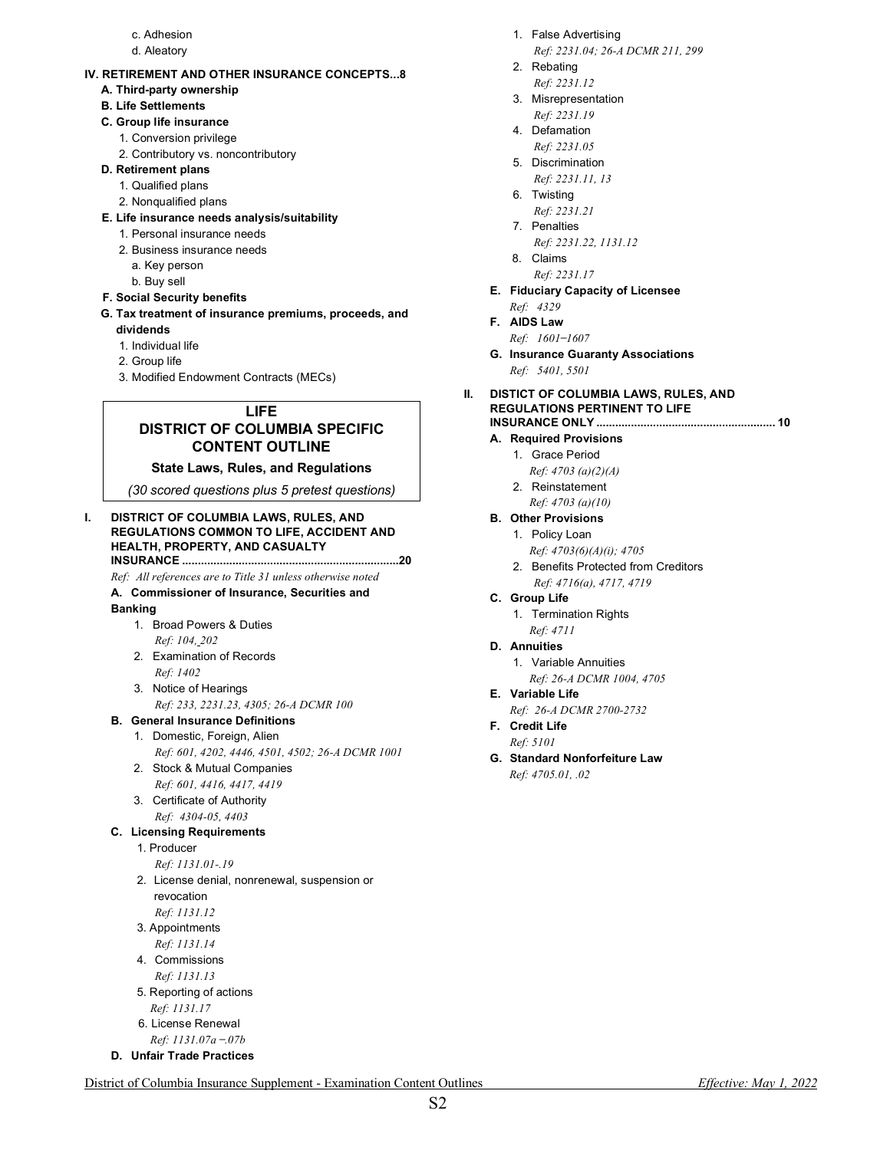- c. Adhesion
- d. Aleatory

#### **IV. RETIREMENT AND OTHER INSURANCE CONCEPTS...8**

**A. Third-party ownership** 

# **B. Life Settlements**

#### **C. Group life insurance**

- 1. Conversion privilege
- 2. Contributory vs. noncontributory

#### **D. Retirement plans**

- 1. Qualified plans
- 2. Nonqualified plans
- **E. Life insurance needs analysis/suitability**
	- 1. Personal insurance needs
	- 2. Business insurance needs
		- a. Key person
		- b. Buy sell
- **F. Social Security benefits**
- **G. Tax treatment of insurance premiums, proceeds, and dividends**
	- 1. Individual life
	- 2. Group life
	- 3. Modified Endowment Contracts (MECs)

# **LIFE DISTRICT OF COLUMBIA SPECIFIC CONTENT OUTLINE**

#### **State Laws, Rules, and Regulations**

*(30 scored questions plus 5 pretest questions)*

#### **I. DISTRICT OF COLUMBIA LAWS, RULES, AND REGULATIONS COMMON TO LIFE, ACCIDENT AND HEALTH, PROPERTY, AND CASUALTY INSURANCE .....................................................................20**

*Ref: All references are to Title 31 unless otherwise noted*

#### **A. Commissioner of Insurance, Securities and**

#### **Banking**

- 1. Broad Powers & Duties *Ref: 104, 202*
- 2. Examination of Records *Ref: 1402*
- 3. Notice of Hearings *Ref: 233, 2231.23, 4305; 26-A DCMR 100*
- **B. General Insurance Definitions**

# 1. Domestic, Foreign, Alien

- *Ref: 601, 4202, 4446, 4501, 4502; 26-A DCMR 1001*
- 2. Stock & Mutual Companies *Ref: 601, 4416, 4417, 4419*
- 3. Certificate of Authority *Ref: 4304-05, 4403*

# **C. Licensing Requirements**

- 1. Producer
	- *Ref: 1131.01-.19*
- 2. License denial, nonrenewal, suspension or revocation *Ref: 1131.12*
- 3. Appointments
- *Ref: 1131.14*
- 4. Commissions *Ref: 1131.13*
- 5. Reporting of actions *Ref: 1131.17* 6. License Renewal
- *Ref: 1131.07a ̶.07b*
- **D. Unfair Trade Practices**
- 1. False Advertising
- *Ref: 2231.04; 26-A DCMR 211, 299*
- 2. Rebating *Ref: 2231.12*
- 3. Misrepresentation
- *Ref: 2231.19*
- 4. Defamation *Ref: 2231.05*
- 5. Discrimination
- *Ref: 2231.11, 13*
- 6. Twisting
- *Ref: 2231.21*
- 7. Penalties
	- *Ref: 2231.22, 1131.12*
- 8. Claims
- *Ref: 2231.17* **E. Fiduciary Capacity of Licensee** *Ref: 4329*
- **F. AIDS Law**
- *Ref: 1601 ̶1607* **G. Insurance Guaranty Associations**
	- *Ref: 5401, 5501*
- **II. DISTICT OF COLUMBIA LAWS, RULES, AND REGULATIONS PERTINENT TO LIFE INSURANCE ONLY ......................................................... 10**

#### **A. Required Provisions**

- 1. Grace Period *Ref: 4703 (a)(2)(A)*
- 2. Reinstatement
- *Ref: 4703 (a)(10)*

#### **B. Other Provisions**

- 1. Policy Loan
	- *Ref: 4703(6)(A)(i); 4705*
- 2. Benefits Protected from Creditors *Ref: 4716(a), 4717, 4719*
- **C. Group Life** 1. Termination Rights
	- *Ref: 4711*
- **D. Annuities**
	- 1. Variable Annuities *Ref: 26-A DCMR 1004, 4705*
- **E. Variable Life** 
	- *Ref: 26-A DCMR 2700-2732*
- **F. Credit Life** *Ref: 5101*
- **G. Standard Nonforfeiture Law** *Ref: 4705.01, .02*

District of Columbia Insurance Supplement - Examination Content Outlines *Effective: May 1, 2022*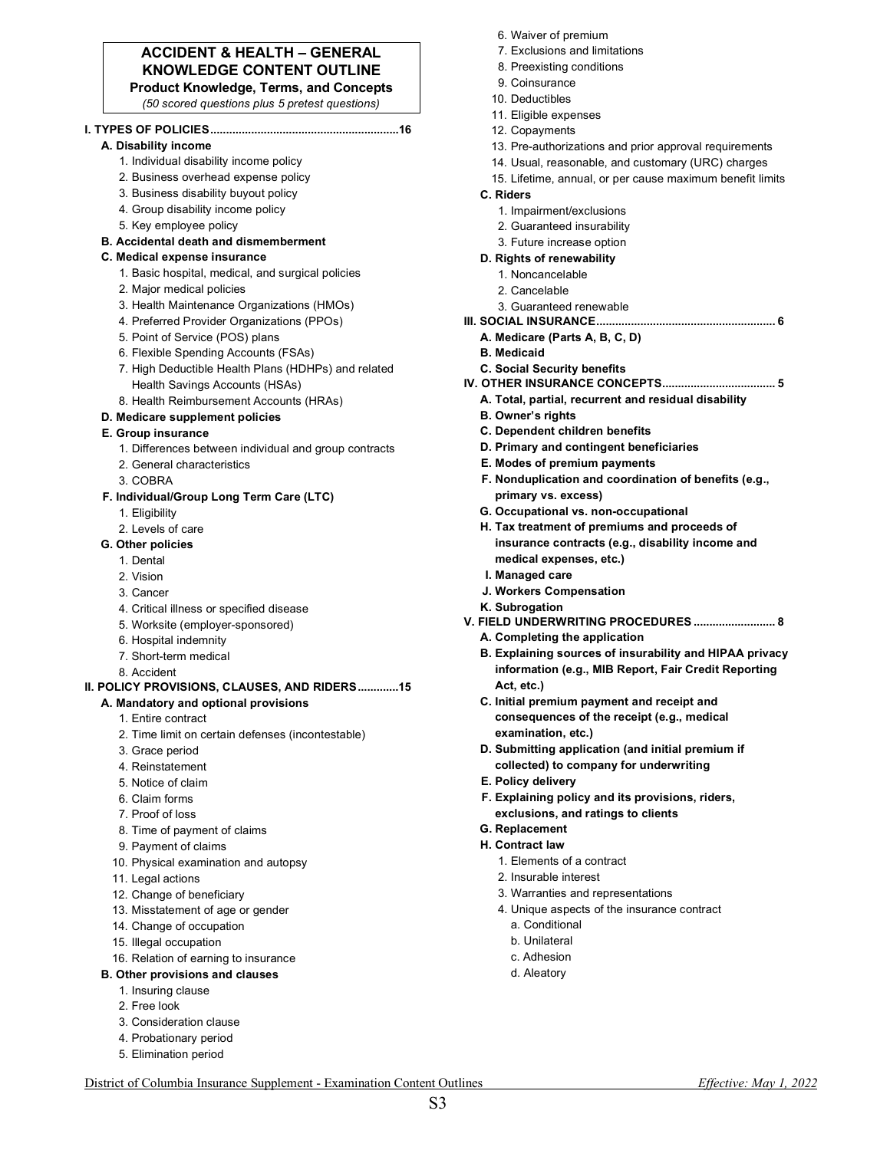# **ACCIDENT & HEALTH – GENERAL KNOWLEDGE CONTENT OUTLINE**

**Product Knowledge, Terms, and Concepts**

*(50 scored questions plus 5 pretest questions)*

#### **I. TYPES OF POLICIES............................................................16**

- **A. Disability income**  1. Individual disability income policy
	- 2. Business overhead expense policy
	- 3. Business disability buyout policy
	- 4. Group disability income policy
	- 5. Key employee policy
- **B. Accidental death and dismemberment**

#### **C. Medical expense insurance**

- 1. Basic hospital, medical, and surgical policies
- 2. Major medical policies
- 3. Health Maintenance Organizations (HMOs)
- 4. Preferred Provider Organizations (PPOs)
- 5. Point of Service (POS) plans
- 6. Flexible Spending Accounts (FSAs)
- 7. High Deductible Health Plans (HDHPs) and related Health Savings Accounts (HSAs)
- 8. Health Reimbursement Accounts (HRAs)

#### **D. Medicare supplement policies**

#### **E. Group insurance**

- 1. Differences between individual and group contracts
- 2. General characteristics
- 3. COBRA

#### **F. Individual/Group Long Term Care (LTC)**

- 1. Eligibility
- 2. Levels of care
- **G. Other policies**
	- 1. Dental
	- 2. Vision
	- 3. Cancer
	- 4. Critical illness or specified disease
	- 5. Worksite (employer-sponsored)
	- 6. Hospital indemnity
	- 7. Short-term medical
	- 8. Accident

# **II. POLICY PROVISIONS, CLAUSES, AND RIDERS.............15**

- **A. Mandatory and optional provisions** 
	- 1. Entire contract
	- 2. Time limit on certain defenses (incontestable)
	- 3. Grace period
	- 4. Reinstatement
	- 5. Notice of claim
	- 6. Claim forms
	- 7. Proof of loss
	- 8. Time of payment of claims
	- 9. Payment of claims
	- 10. Physical examination and autopsy
	- 11. Legal actions
	- 12. Change of beneficiary
	- 13. Misstatement of age or gender
	- 14. Change of occupation
	- 15. Illegal occupation

#### 16. Relation of earning to insurance

- **B. Other provisions and clauses** 
	- 1. Insuring clause
	- 2. Free look
	- 3. Consideration clause
	- 4. Probationary period
	- 5. Elimination period
- 6. Waiver of premium
- 7. Exclusions and limitations
- 8. Preexisting conditions
- 9. Coinsurance
- 10. Deductibles
- 11. Eligible expenses
- 12. Copayments
- 13. Pre-authorizations and prior approval requirements
- 14. Usual, reasonable, and customary (URC) charges
- 15. Lifetime, annual, or per cause maximum benefit limits
- **C. Riders** 
	- 1. Impairment/exclusions
	- 2. Guaranteed insurability
	- 3. Future increase option
- **D. Rights of renewability**

# 1. Noncancelable

- 2. Cancelable
- 
- 3. Guaranteed renewable
- **III. SOCIAL INSURANCE......................................................... 6 A. Medicare (Parts A, B, C, D)**
	- **B. Medicaid**
	- **C. Social Security benefits**
- **IV. OTHER INSURANCE CONCEPTS.................................... 5**
	- **A. Total, partial, recurrent and residual disability**
	- **B. Owner's rights**
	- **C. Dependent children benefits**
	- **D. Primary and contingent beneficiaries**
	- **E. Modes of premium payments**
	- **F. Nonduplication and coordination of benefits (e.g., primary vs. excess)**
	- **G. Occupational vs. non-occupational**
	- **H. Tax treatment of premiums and proceeds of insurance contracts (e.g., disability income and medical expenses, etc.)**
	- **I. Managed care**
	- **J. Workers Compensation**
	- **K. Subrogation**

**E. Policy delivery** 

**G. Replacement H. Contract law** 

> 1. Elements of a contract 2. Insurable interest

a. Conditional b. Unilateral c. Adhesion d. Aleatory

3. Warranties and representations 4. Unique aspects of the insurance contract

District of Columbia Insurance Supplement - Examination Content Outlines *Effective: May 1, 2022* S3

- **V. FIELD UNDERWRITING PROCEDURES .......................... 8**
	- **A. Completing the application**
	- **B. Explaining sources of insurability and HIPAA privacy information (e.g., MIB Report, Fair Credit Reporting Act, etc.)**
	- **C. Initial premium payment and receipt and consequences of the receipt (e.g., medical examination, etc.)**
	- **D. Submitting application (and initial premium if collected) to company for underwriting**

**F. Explaining policy and its provisions, riders, exclusions, and ratings to clients**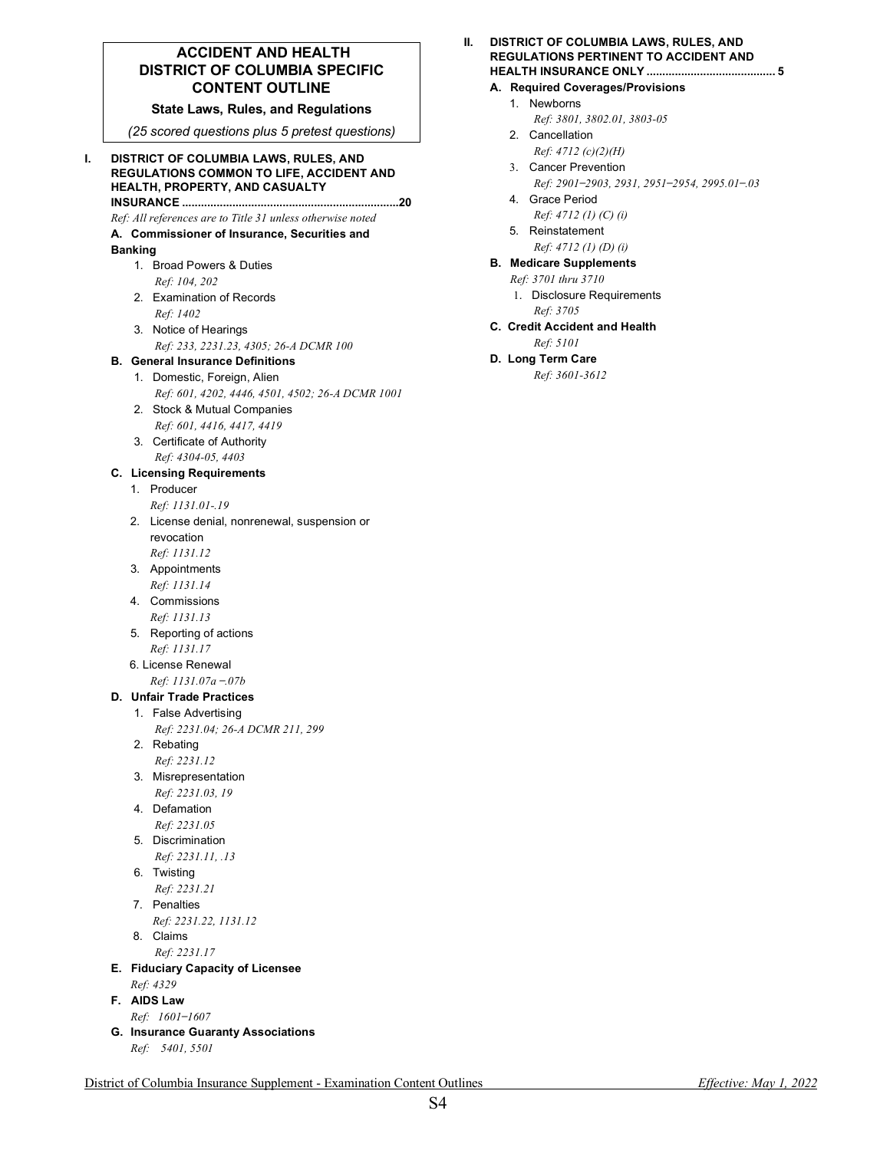# **ACCIDENT AND HEALTH DISTRICT OF COLUMBIA SPECIFIC CONTENT OUTLINE**

#### **State Laws, Rules, and Regulations**

*(25 scored questions plus 5 pretest questions)*

#### **I. DISTRICT OF COLUMBIA LAWS, RULES, AND REGULATIONS COMMON TO LIFE, ACCIDENT AND HEALTH, PROPERTY, AND CASUALTY INSURANCE .....................................................................20**

*Ref: All references are to Title 31 unless otherwise noted*

**A. Commissioner of Insurance, Securities and** 

#### **Banking**

- 1. Broad Powers & Duties *Ref: 104, 202*
- 2. Examination of Records *Ref: 1402*
- 3. Notice of Hearings *Ref: 233, 2231.23, 4305; 26-A DCMR 100*

#### **B. General Insurance Definitions**

- 1. Domestic, Foreign, Alien *Ref: 601, 4202, 4446, 4501, 4502; 26-A DCMR 1001*
- 2. Stock & Mutual Companies *Ref: 601, 4416, 4417, 4419*
- 3. Certificate of Authority *Ref: 4304-05, 4403*

# **C. Licensing Requirements**

- 1. Producer *Ref: 1131.01-.19*
- 2. License denial, nonrenewal, suspension or revocation *Ref: 1131.12*
- 3. Appointments
- *Ref: 1131.14*
- 4. Commissions *Ref: 1131.13*
- 5. Reporting of actions *Ref: 1131.17*
- 6. License Renewal *Ref: 1131.07a ̶.07b*

#### **D. Unfair Trade Practices**

- 1. False Advertising *Ref: 2231.04; 26-A DCMR 211, 299*
- 2. Rebating
- *Ref: 2231.12*
- 3. Misrepresentation *Ref: 2231.03, 19*
- 4. Defamation *Ref: 2231.05*
- 5. Discrimination *Ref: 2231.11, .13*
- 6. Twisting
- *Ref: 2231.21* 7. Penalties
- *Ref: 2231.22, 1131.12*
- 8. Claims
	- *Ref: 2231.17*
- **E. Fiduciary Capacity of Licensee** *Ref: 4329*
- **F. AIDS Law** *Ref: 1601 ̶1607*
- **G. Insurance Guaranty Associations** *Ref: 5401, 5501*

#### **A. Required Coverages/Provisions**

- 1. Newborns
	- *Ref: 3801, 3802.01, 3803-05*
- 2. Cancellation *Ref: 4712 (c)(2)(H)*
- 3. Cancer Prevention *Ref: 2901 ̶2903, 2931, 2951 ̶2954, 2995.01 ̶.03*
- 4. Grace Period
	- *Ref: 4712 (1) (C) (i)*
- 5. Reinstatement
- *Ref: 4712 (1) (D) (i)*

# **B. Medicare Supplements**

- *Ref: 3701 thru 3710* 1. Disclosure Requirements *Ref: 3705*
- **C. Credit Accident and Health**
	- *Ref: 5101*

# **D. Long Term Care**

*Ref: 3601-3612*

District of Columbia Insurance Supplement - Examination Content Outlines *Effective: May 1, 2022*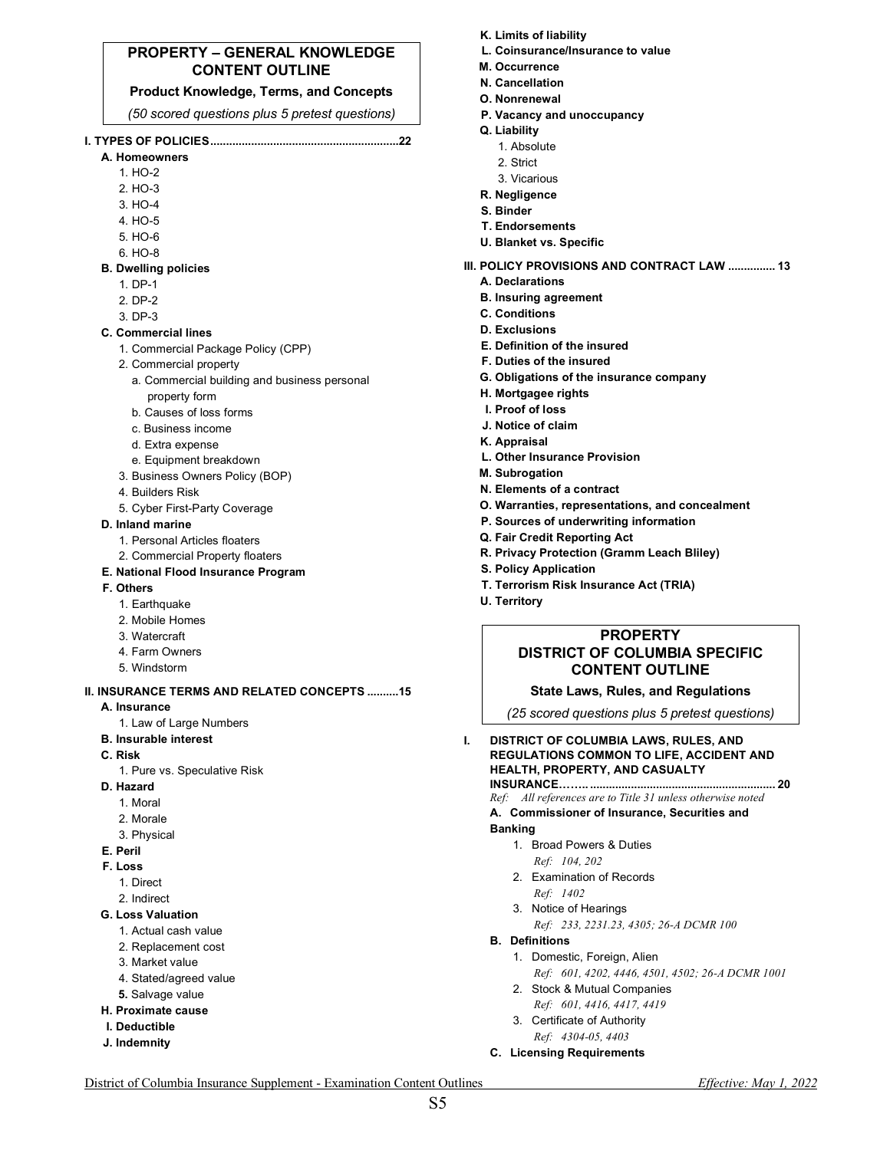### **PROPERTY – GENERAL KNOWLEDGE CONTENT OUTLINE**

#### **Product Knowledge, Terms, and Concepts**

*(50 scored questions plus 5 pretest questions)*

# **I. TYPES OF POLICIES............................................................22**

- **A. Homeowners** 
	- 1. HO-2 2. HO-3
	- 3. HO-4
	- 4. HO-5
	- 5. HO-6
	- 6. HO-8
- **B. Dwelling policies**
	- 1. DP-1
	- 2. DP-2
	- 3. DP-3
- **C. Commercial lines** 
	- 1. Commercial Package Policy (CPP)
	- 2. Commercial property
		- a. Commercial building and business personal property form
		- b. Causes of loss forms
		- c. Business income
		- d. Extra expense
		- e. Equipment breakdown
	- 3. Business Owners Policy (BOP)
	- 4. Builders Risk
	- 5. Cyber First-Party Coverage
- **D. Inland marine** 
	- 1. Personal Articles floaters
	- 2. Commercial Property floaters
- **E. National Flood Insurance Program**
- **F. Others**
	- 1. Earthquake
	- 2. Mobile Homes
	- 3. Watercraft
	- 4. Farm Owners
	- 5. Windstorm

# **II. INSURANCE TERMS AND RELATED CONCEPTS ..........15**

- **A. Insurance** 
	- 1. Law of Large Numbers
- **B. Insurable interest**
- **C. Risk** 
	- 1. Pure vs. Speculative Risk
- **D. Hazard** 
	- 1. Moral
	- 2. Morale
	- 3. Physical
- **E. Peril**
- **F. Loss** 
	- 1. Direct
	- 2. Indirect
- **G. Loss Valuation**
	- 1. Actual cash value
	- 2. Replacement cost
	- 3. Market value
	- 4. Stated/agreed value
	- **5.** Salvage value
- **H. Proximate cause**
- **I. Deductible**
- **J. Indemnity**
- **K. Limits of liability**
- **L. Coinsurance/Insurance to value**
- **M. Occurrence**
- **N. Cancellation**
- **O. Nonrenewal**
- **P. Vacancy and unoccupancy**
- **Q. Liability** 
	- 1. Absolute
	- 2. Strict
	- 3. Vicarious
- **R. Negligence**
- **S. Binder**
- **T. Endorsements**
- **U. Blanket vs. Specific**
- **III. POLICY PROVISIONS AND CONTRACT LAW ............... 13**
	- **A. Declarations**
	- **B. Insuring agreement**
	- **C. Conditions**
	- **D. Exclusions**
	- **E. Definition of the insured**
	- **F. Duties of the insured**
	- **G. Obligations of the insurance company**
	- **H. Mortgagee rights**
	- **I. Proof of loss**
	- **J. Notice of claim**
	- **K. Appraisal**
	- **L. Other Insurance Provision**
	- **M. Subrogation**
	- **N. Elements of a contract**
	- **O. Warranties, representations, and concealment**
	- **P. Sources of underwriting information**
	- **Q. Fair Credit Reporting Act**
	- **R. Privacy Protection (Gramm Leach Bliley)**
	- **S. Policy Application**
	- **T. Terrorism Risk Insurance Act (TRIA)**
	- **U. Territory**

District of Columbia Insurance Supplement - Examination Content Outlines *Effective: May 1, 2022* S5

### **PROPERTY DISTRICT OF COLUMBIA SPECIFIC CONTENT OUTLINE**

**State Laws, Rules, and Regulations**

*(25 scored questions plus 5 pretest questions)*

- **I. DISTRICT OF COLUMBIA LAWS, RULES, AND REGULATIONS COMMON TO LIFE, ACCIDENT AND HEALTH, PROPERTY, AND CASUALTY INSURANCE…….. ........................................................... 20**
	- *Ref: All references are to Title 31 unless otherwise noted*

*Ref: 233, 2231.23, 4305; 26-A DCMR 100*

*Ref: 601, 4202, 4446, 4501, 4502; 26-A DCMR 1001*

#### **A. Commissioner of Insurance, Securities and Banking**

1. Broad Powers & Duties *Ref: 104, 202* 2. Examination of Records *Ref: 1402*  3. Notice of Hearings

1. Domestic, Foreign, Alien

2. Stock & Mutual Companies *Ref: 601, 4416, 4417, 4419* 3. Certificate of Authority *Ref: 4304-05, 4403*  **C. Licensing Requirements**

**B. Definitions**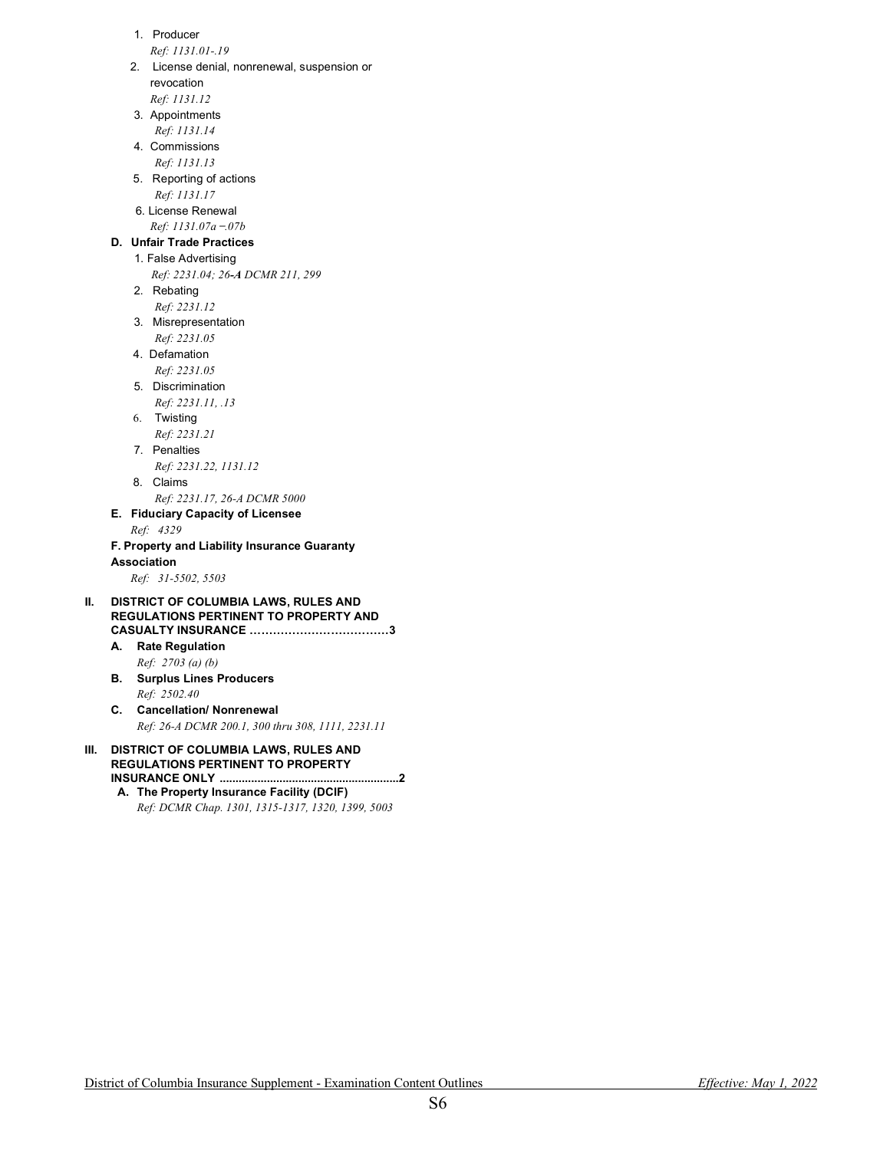- 1. Producer
- *Ref: 1131.01-.19*
- 2. License denial, nonrenewal, suspension or revocation *Ref: 1131.12*
- 3. Appointments
- *Ref: 1131.14* 4. Commissions
- *Ref: 1131.13*
- 5. Reporting of actions *Ref: 1131.17*
- 6. License Renewal
- *Ref: 1131.07a ̶.07b*

# **D. Unfair Trade Practices**

- 1. False Advertising *Ref: 2231.04; 26-A DCMR 211, 299*
- 2. Rebating
- *Ref: 2231.12*
- 3. Misrepresentation *Ref: 2231.05*
- 4. Defamation
- *Ref: 2231.05*
- 5. Discrimination
- *Ref: 2231.11, .13* 6. Twisting
- *Ref: 2231.21*
- 7. Penalties
- *Ref: 2231.22, 1131.12*
- 8. Claims *Ref: 2231.17, 26-A DCMR 5000*
- **E. Fiduciary Capacity of Licensee**

*Ref: 4329*

#### **F. Property and Liability Insurance Guaranty Association**

*Ref: 31-5502, 5503*

#### **II. DISTRICT OF COLUMBIA LAWS, RULES AND REGULATIONS PERTINENT TO PROPERTY AND CASUALTY INSURANCE ………………………………3**

- **A. Rate Regulation**
- *Ref: 2703 (a) (b)* **B. Surplus Lines Producers** *Ref: 2502.40*
- **C. Cancellation/ Nonrenewal** *Ref: 26-A DCMR 200.1, 300 thru 308, 1111, 2231.11*
- **III. DISTRICT OF COLUMBIA LAWS, RULES AND REGULATIONS PERTINENT TO PROPERTY INSURANCE ONLY .........................................................2**
	- **A. The Property Insurance Facility (DCIF)** *Ref: DCMR Chap. 1301, 1315-1317, 1320, 1399, 5003*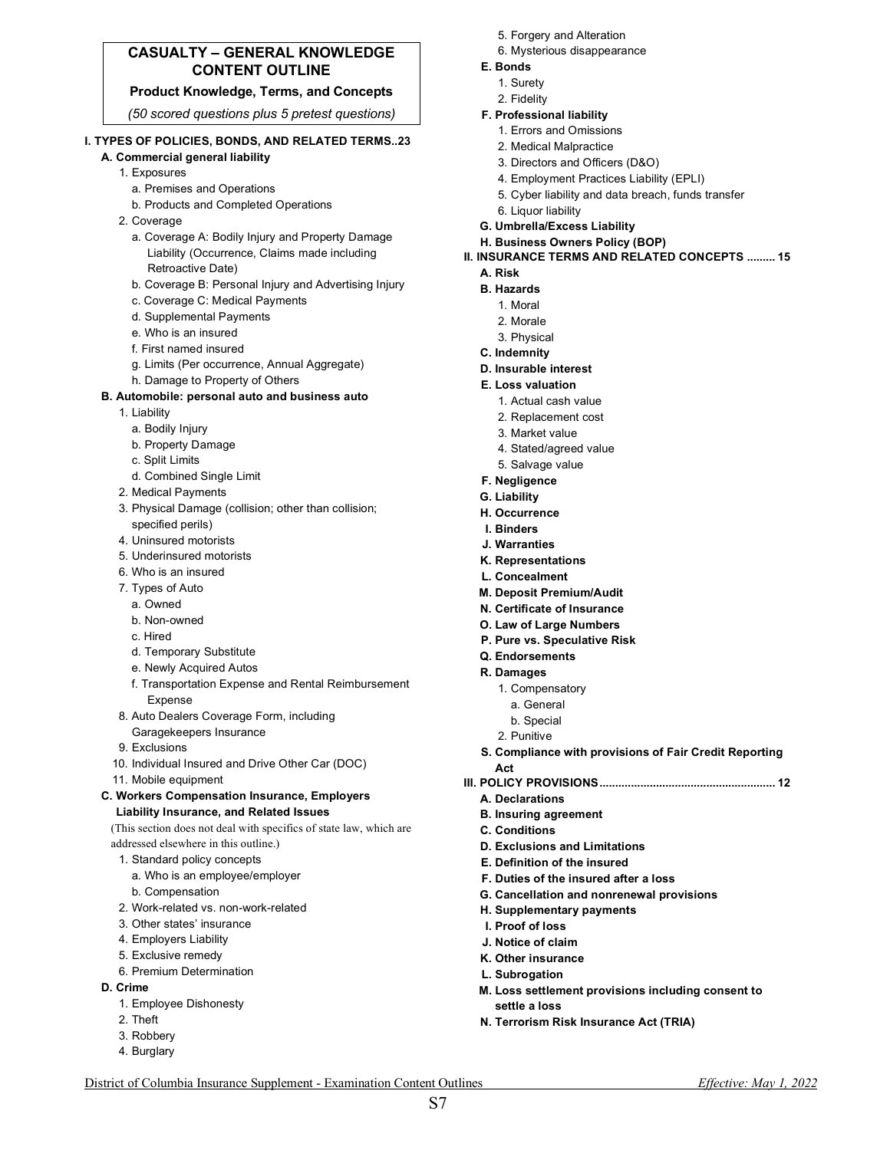# **CASUALTY – GENERAL KNOWLEDGE CONTENT OUTLINE**

#### **Product Knowledge, Terms, and Concepts**

*(50 scored questions plus 5 pretest questions)*

#### **I. TYPES OF POLICIES, BONDS, AND RELATED TERMS..23**

- **A. Commercial general liability** 
	- 1. Exposures
		- a. Premises and Operations
		- b. Products and Completed Operations
	- 2. Coverage
		- a. Coverage A: Bodily Injury and Property Damage Liability (Occurrence, Claims made including Retroactive Date)
		- b. Coverage B: Personal Injury and Advertising Injury
		- c. Coverage C: Medical Payments
		- d. Supplemental Payments
		- e. Who is an insured
		- f. First named insured
		- g. Limits (Per occurrence, Annual Aggregate)
		- h. Damage to Property of Others

#### **B. Automobile: personal auto and business auto**

- 1. Liability
	- a. Bodily Injury
	- b. Property Damage
	- c. Split Limits
- d. Combined Single Limit
- 2. Medical Payments
- 3. Physical Damage (collision; other than collision; specified perils)
- 4. Uninsured motorists
- 5. Underinsured motorists
- 6. Who is an insured
- 7. Types of Auto
	- a. Owned
	- b. Non-owned
	- c. Hired
	- d. Temporary Substitute
	- e. Newly Acquired Autos
	- f. Transportation Expense and Rental Reimbursement Expense
- 8. Auto Dealers Coverage Form, including Garagekeepers Insurance
- 9. Exclusions
- 10. Individual Insured and Drive Other Car (DOC)
- 11. Mobile equipment
- **C. Workers Compensation Insurance, Employers Liability Insurance, and Related Issues**

(This section does not deal with specifics of state law, which are addressed elsewhere in this outline.)

- 1. Standard policy concepts
- a. Who is an employee/employer
- b. Compensation
- 2. Work-related vs. non-work-related
- 3. Other states' insurance
- 4. Employers Liability
- 5. Exclusive remedy
- 6. Premium Determination
- **D. Crime** 
	- 1. Employee Dishonesty
	- 2. Theft
	- 3. Robbery
	- 4. Burglary
- 5. Forgery and Alteration
- 6. Mysterious disappearance
- **E. Bonds**
	- 1. Surety
	- 2. Fidelity

#### **F. Professional liability** 1. Errors and Omissions

- 
- 2. Medical Malpractice
- 3. Directors and Officers (D&O)
- 4. Employment Practices Liability (EPLI)
- 5. Cyber liability and data breach, funds transfer
- 6. Liquor liability
- **G. Umbrella/Excess Liability**
- **H. Business Owners Policy (BOP)**

#### **II. INSURANCE TERMS AND RELATED CONCEPTS ......... 15**

#### **A. Risk**

- **B. Hazards**
	- 1. Moral
	- 2. Morale
	- 3. Physical
- **C. Indemnity**
- **D. Insurable interest**
- **E. Loss valuation**
	- 1. Actual cash value
	- 2. Replacement cost
	- 3. Market value
	- 4. Stated/agreed value
	- 5. Salvage value
- **F. Negligence**
- **G. Liability**
- **H. Occurrence**
- **I. Binders**
- **J. Warranties**
- **K. Representations**
- **L. Concealment**
- **M. Deposit Premium/Audit**
- **N. Certificate of Insurance**
- **O. Law of Large Numbers**
- **P. Pure vs. Speculative Risk**

**D. Exclusions and Limitations E. Definition of the insured F. Duties of the insured after a loss G. Cancellation and nonrenewal provisions** 

**H. Supplementary payments** 

- **Q. Endorsements**
- **R. Damages**
	- 1. Compensatory
		- a. General
	- b. Special
	- 2. Punitive

**A. Declarations B. Insuring agreement C. Conditions** 

**I. Proof of loss J. Notice of claim K. Other insurance L. Subrogation** 

**settle a loss** 

District of Columbia Insurance Supplement - Examination Content Outlines *Effective: May 1, 2022* S7

**S. Compliance with provisions of Fair Credit Reporting Act III. POLICY PROVISIONS........................................................ 12**

**M. Loss settlement provisions including consent to** 

**N. Terrorism Risk Insurance Act (TRIA)**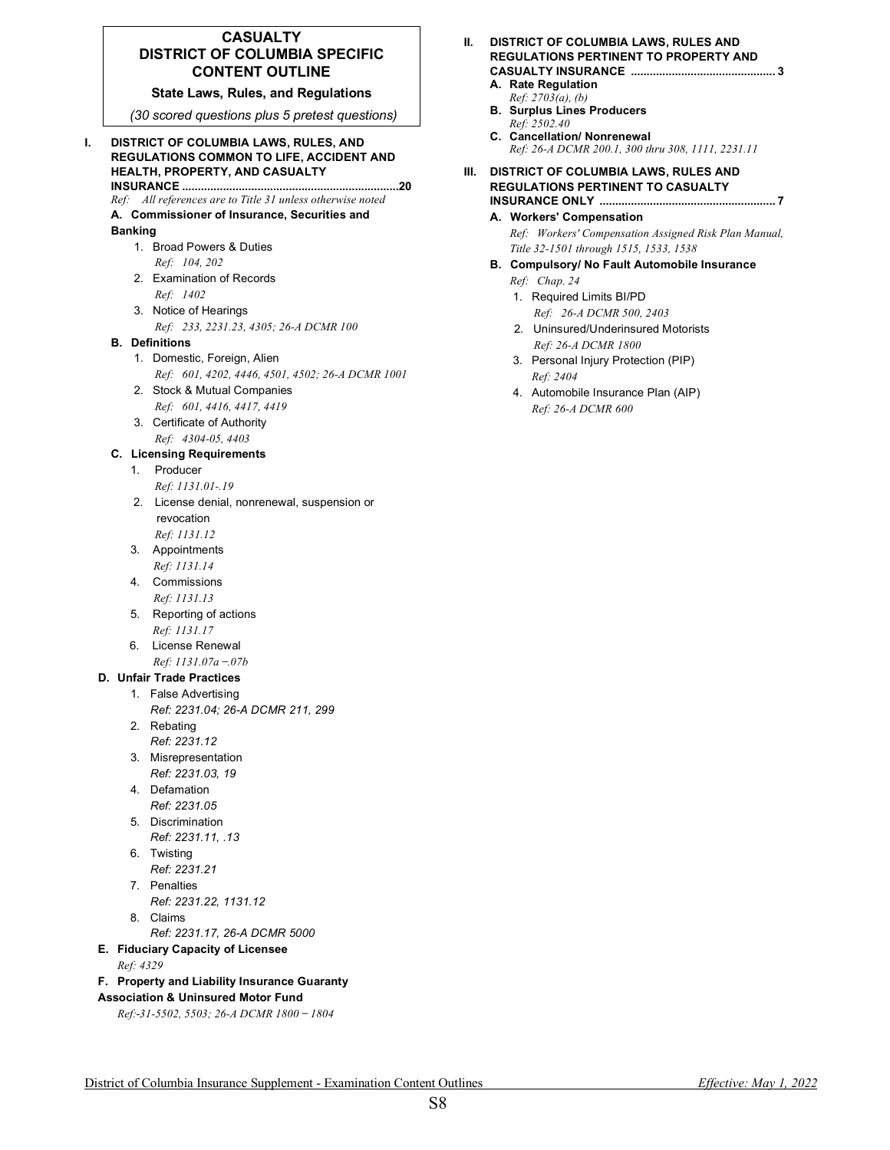#### **CASUALTY DISTRICT OF COLUMBIA SPECIFIC CONTENT OUTLINE**

#### **State Laws, Rules, and Regulations**

*(30 scored questions plus 5 pretest questions)*

#### **I. DISTRICT OF COLUMBIA LAWS, RULES, AND REGULATIONS COMMON TO LIFE, ACCIDENT AND HEALTH, PROPERTY, AND CASUALTY INSURANCE .....................................................................20**

*Ref: All references are to Title 31 unless otherwise noted*

# **A. Commissioner of Insurance, Securities and**

#### **Banking**

- 1. Broad Powers & Duties *Ref: 104, 202*
- 2. Examination of Records *Ref: 1402*
- 3. Notice of Hearings
- *Ref: 233, 2231.23, 4305; 26-A DCMR 100*

#### **B. Definitions**

- 1. Domestic, Foreign, Alien
- *Ref: 601, 4202, 4446, 4501, 4502; 26-A DCMR 1001*  2. Stock & Mutual Companies
- *Ref: 601, 4416, 4417, 4419*
- 3. Certificate of Authority *Ref: 4304-05, 4403*

#### **C. Licensing Requirements**

- 1. Producer *Ref: 1131.01-.19*
- 2. License denial, nonrenewal, suspension or revocation *Ref: 1131.12*
- 3. Appointments *Ref: 1131.14*
- 4. Commissions  *Ref: 1131.13*
- 5. Reporting of actions *Ref: 1131.17*
- 6. License Renewal *Ref: 1131.07a ̶.07b*

### **D. Unfair Trade Practices**

- 1. False Advertising
	- *Ref: 2231.04; 26-A DCMR 211, 299*
	- 2. Rebating *Ref: 2231.12*
	- 3. Misrepresentation
	- *Ref: 2231.03, 19*  4. Defamation
	- *Ref: 2231.05*
	- 5. Discrimination *Ref: 2231.11, .13*
	- 6. Twisting
	- *Ref: 2231.21*
	- 7. Penalties
	- *Ref: 2231.22, 1131.12*
	- 8. Claims
		- *Ref: 2231.17, 26-A DCMR 5000*
- **E. Fiduciary Capacity of Licensee**

# *Ref: 4329*

### **F. Property and Liability Insurance Guaranty**

# **Association & Uninsured Motor Fund**

*Ref: 31-5502, 5503; 26-A DCMR 1800 ̶ 1804* 

#### **II. DISTRICT OF COLUMBIA LAWS, RULES AND REGULATIONS PERTINENT TO PROPERTY AND CASUALTY INSURANCE .............................................. 3**

- **A. Rate Regulation**
- *Ref: 2703(a), (b)* **B. Surplus Lines Producers** *Ref: 2502.40*
- **C. Cancellation/ Nonrenewal** *Ref: 26-A DCMR 200.1, 300 thru 308, 1111, 2231.11*

#### **III. DISTRICT OF COLUMBIA LAWS, RULES AND REGULATIONS PERTINENT TO CASUALTY INSURANCE ONLY ........................................................ 7**

**A. Workers' Compensation** *Ref: Workers' Compensation Assigned Risk Plan Manual, Title 32-1501 through 1515, 1533, 1538*

#### **B. Compulsory/ No Fault Automobile Insurance**

- *Ref: Chap. 24*
- 1. Required Limits BI/PD
- *Ref: 26-A DCMR 500, 2403* 2. Uninsured/Underinsured Motorists
- *Ref: 26-A DCMR 1800*
- 3. Personal Injury Protection (PIP) *Ref: 2404*
- 4. Automobile Insurance Plan (AIP) *Ref: 26-A DCMR 600*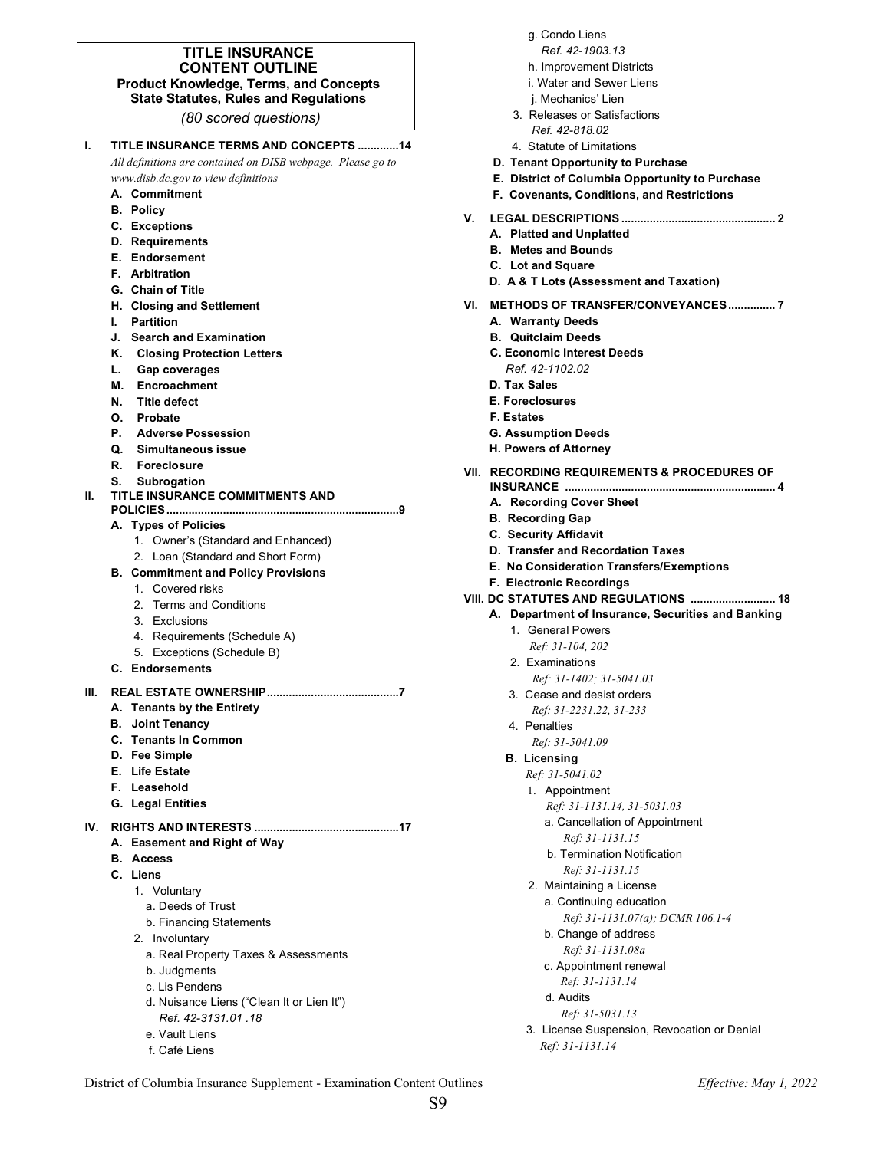#### **TITLE INSURANCE CONTENT OUTLINE Product Knowledge, Terms, and Concepts State Statutes, Rules and Regulations**

*(80 scored questions)*

| ı.  | TITLE INSURANCE TERMS AND CONCEPTS 14<br>All definitions are contained on DISB webpage. Please go to |
|-----|------------------------------------------------------------------------------------------------------|
|     | www.disb.dc.gov to view definitions                                                                  |
|     | A. Commitment                                                                                        |
|     | <b>B.</b> Policy                                                                                     |
|     | C. Exceptions                                                                                        |
|     | <b>D.</b> Requirements                                                                               |
|     | E. Endorsement                                                                                       |
|     | <b>F.</b> Arbitration                                                                                |
|     | G. Chain of Title                                                                                    |
|     | H. Closing and Settlement                                                                            |
|     | <b>Partition</b><br>L.                                                                               |
|     | J.<br><b>Search and Examination</b>                                                                  |
|     | Κ.<br><b>Closing Protection Letters</b>                                                              |
|     | L. Gap coverages                                                                                     |
|     | Encroachment<br>М.                                                                                   |
|     | N.<br><b>Title defect</b>                                                                            |
|     | O.<br><b>Probate</b>                                                                                 |
|     | P. Adverse Possession                                                                                |
|     | Q. Simultaneous issue                                                                                |
|     | R.<br>Foreclosure                                                                                    |
|     | S.<br>Subrogation                                                                                    |
| Н.  | TITLE INSURANCE COMMITMENTS AND                                                                      |
|     | A. Types of Policies                                                                                 |
|     | 1.<br>Owner's (Standard and Enhanced)                                                                |
|     | Loan (Standard and Short Form)<br>2.                                                                 |
|     | <b>B. Commitment and Policy Provisions</b>                                                           |
|     | 1.<br>Covered risks                                                                                  |
|     | 2.<br><b>Terms and Conditions</b>                                                                    |
|     | 3. Exclusions                                                                                        |
|     | 4. Requirements (Schedule A)                                                                         |
|     | Exceptions (Schedule B)<br>5.                                                                        |
|     | <b>C.</b> Endorsements                                                                               |
| Ш.  |                                                                                                      |
|     | A. Tenants by the Entirety                                                                           |
|     | Joint Tenancy<br>В.                                                                                  |
|     | <b>C.</b> Tenants In Common                                                                          |
|     | D. Fee Simple                                                                                        |
|     | E. Life Estate                                                                                       |
|     | F. Leasehold                                                                                         |
|     | <b>G.</b> Legal Entities                                                                             |
|     |                                                                                                      |
| IV. |                                                                                                      |
|     | <b>Easement and Right of Way</b><br>А.                                                               |
|     | В.<br><b>Access</b>                                                                                  |
|     | C. Liens                                                                                             |
|     | 1. Voluntary                                                                                         |
|     | a. Deeds of Trust                                                                                    |
|     | b. Financing Statements                                                                              |
|     | 2. Involuntary                                                                                       |
|     | a. Real Property Taxes & Assessments                                                                 |
|     | b. Judgments                                                                                         |
|     | c. Lis Pendens                                                                                       |
|     | d. Nuisance Liens ("Clean It or Lien It")                                                            |
|     | Ref. 42-3131.01-18                                                                                   |
|     | e. Vault Liens                                                                                       |
|     | f. Café Liens                                                                                        |
|     |                                                                                                      |
|     |                                                                                                      |

|  |  | g. Condo Liens |  |
|--|--|----------------|--|
|--|--|----------------|--|

- *Ref. 42-1903.13*
- h. Improvement Districts
- i. Water and Sewer Liens
- j. Mechanics' Lien
- 3. Releases or Satisfactions *Ref. 42-818.02*
- 4. Statute of Limitations
- **D. Tenant Opportunity to Purchase**
- **E. District of Columbia Opportunity to Purchase**
- **F. Covenants, Conditions, and Restrictions**
- **V. LEGAL DESCRIPTIONS ................................................. 2**
	- **A. Platted and Unplatted**
	- **B. Metes and Bounds**
	- **C. Lot and Square**
	- **D. A & T Lots (Assessment and Taxation)**
- **VI. METHODS OF TRANSFER/CONVEYANCES............... 7**
	- **A. Warranty Deeds**
	- **B. Quitclaim Deeds**
	- **C. Economic Interest Deeds** *Ref. 42-1102.02*
	- **D. Tax Sales**
	- **E. Foreclosures**
	- **F. Estates**
	- **G. Assumption Deeds**
	- **H. Powers of Attorney**

#### **VII. RECORDING REQUIREMENTS & PROCEDURES OF**

- **INSURANCE ................................................................... 4**
- **A. Recording Cover Sheet**
- **B. Recording Gap**
- **C. Security Affidavit**
- **D. Transfer and Recordation Taxes**
- **E. No Consideration Transfers/Exemptions**
- **F. Electronic Recordings**

# **VIII. DC STATUTES AND REGULATIONS ........................... 18**

- **A. Department of Insurance, Securities and Banking**
	- 1. General Powers *Ref: 31-104, 202*
	- 2. Examinations
	- *Ref: 31-1402; 31-5041.03*
	- 3. Cease and desist orders
	- *Ref: 31-2231.22, 31-233* 4. Penalties
	- *Ref: 31-5041.09*

#### **B. Licensing**

- *Ref: 31-5041.02*
	- 1. Appointment
		- *Ref: 31-1131.14, 31-5031.03*
		- a. Cancellation of Appointment
			- *Ref: 31-1131.15*
		- **b.** Termination Notification  *Ref: 31-1131.15*
	- 2. Maintaining a License a. Continuing education
		- *Ref: 31-1131.07(a); DCMR 106.1-4* b. Change of address
		- *Ref: 31-1131.08a* c. Appointment renewal
		- *Ref: 31-1131.14*
		- d. Audits *Ref: 31-5031.13*
	- 3. License Suspension, Revocation or Denial  *Ref: 31-1131.14*